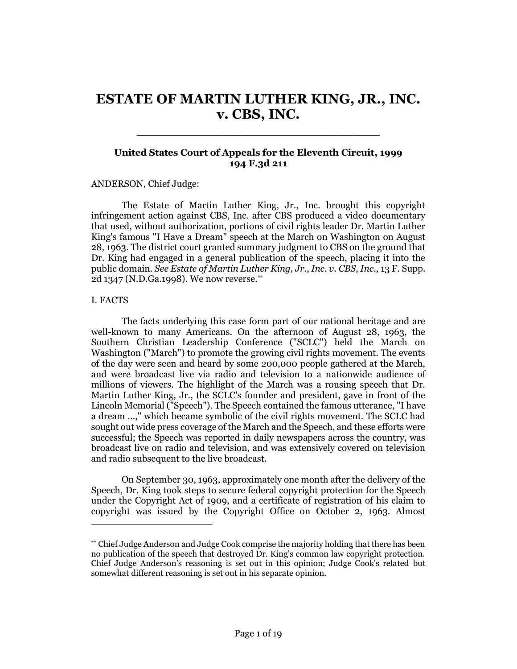# **ESTATE OF MARTIN LUTHER KING, JR., INC. v. CBS, INC.**

\_\_\_\_\_\_\_\_\_\_\_\_\_\_\_\_\_\_\_\_\_\_\_\_\_\_\_\_

# **United States Court of Appeals for the Eleventh Circuit, 1999 194 F.3d 211**

## ANDERSON, Chief Judge:

The Estate of Martin Luther King, Jr., Inc. brought this copyright infringement action against CBS, Inc. after CBS produced a video documentary that used, without authorization, portions of civil rights leader Dr. Martin Luther King's famous "I Have a Dream" speech at the March on Washington on August 28, 1963. The district court granted summary judgment to CBS on the ground that Dr. King had engaged in a general publication of the speech, placing it into the public domain. *See Estate of Martin Luther King, Jr., Inc. v. CBS, Inc.*, 13 F. Supp. 2d 1347 (N.D.Ga.1998). We now reverse.\*\*

#### I. FACTS

 $\overline{a}$ 

The facts underlying this case form part of our national heritage and are well-known to many Americans. On the afternoon of August 28, 1963, the Southern Christian Leadership Conference ("SCLC") held the March on Washington ("March") to promote the growing civil rights movement. The events of the day were seen and heard by some 200,000 people gathered at the March, and were broadcast live via radio and television to a nationwide audience of millions of viewers. The highlight of the March was a rousing speech that Dr. Martin Luther King, Jr., the SCLC's founder and president, gave in front of the Lincoln Memorial ("Speech"). The Speech contained the famous utterance, "I have a dream …," which became symbolic of the civil rights movement. The SCLC had sought out wide press coverage of the March and the Speech, and these efforts were successful; the Speech was reported in daily newspapers across the country, was broadcast live on radio and television, and was extensively covered on television and radio subsequent to the live broadcast.

On September 30, 1963, approximately one month after the delivery of the Speech, Dr. King took steps to secure federal copyright protection for the Speech under the Copyright Act of 1909, and a certificate of registration of his claim to copyright was issued by the Copyright Office on October 2, 1963. Almost

<sup>\*\*</sup> Chief Judge Anderson and Judge Cook comprise the majority holding that there has been no publication of the speech that destroyed Dr. King's common law copyright protection. Chief Judge Anderson's reasoning is set out in this opinion; Judge Cook's related but somewhat different reasoning is set out in his separate opinion.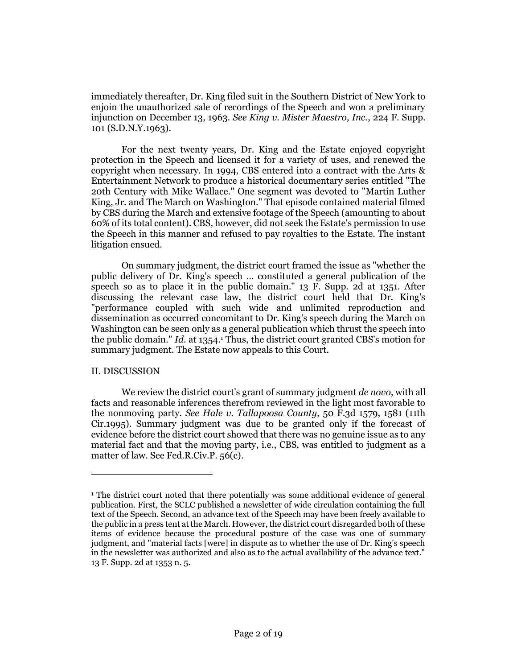immediately thereafter, Dr. King filed suit in the Southern District of New York to enjoin the unauthorized sale of recordings of the Speech and won a preliminary injunction on December 13, 1963. *See King v. Mister Maestro, Inc.*, 224 F. Supp. 101 (S.D.N.Y.1963).

For the next twenty years, Dr. King and the Estate enjoyed copyright protection in the Speech and licensed it for a variety of uses, and renewed the copyright when necessary. In 1994, CBS entered into a contract with the Arts & Entertainment Network to produce a historical documentary series entitled "The 20th Century with Mike Wallace." One segment was devoted to "Martin Luther King, Jr. and The March on Washington." That episode contained material filmed by CBS during the March and extensive footage of the Speech (amounting to about 60% of its total content). CBS, however, did not seek the Estate's permission to use the Speech in this manner and refused to pay royalties to the Estate. The instant litigation ensued.

On summary judgment, the district court framed the issue as "whether the public delivery of Dr. King's speech … constituted a general publication of the speech so as to place it in the public domain." 13 F. Supp. 2d at 1351. After discussing the relevant case law, the district court held that Dr. King's "performance coupled with such wide and unlimited reproduction and dissemination as occurred concomitant to Dr. King's speech during the March on Washington can be seen only as a general publication which thrust the speech into the public domain." *Id.* at 1354.<sup>1</sup> Thus, the district court granted CBS's motion for summary judgment. The Estate now appeals to this Court.

## II. DISCUSSION

 $\overline{a}$ 

We review the district court's grant of summary judgment *de novo*, with all facts and reasonable inferences therefrom reviewed in the light most favorable to the nonmoving party. *See Hale v. Tallapoosa County*, 50 F.3d 1579, 1581 (11th Cir.1995). Summary judgment was due to be granted only if the forecast of evidence before the district court showed that there was no genuine issue as to any material fact and that the moving party, i.e., CBS, was entitled to judgment as a matter of law. See Fed.R.Civ.P. 56(c).

<sup>1</sup> The district court noted that there potentially was some additional evidence of general publication. First, the SCLC published a newsletter of wide circulation containing the full text of the Speech. Second, an advance text of the Speech may have been freely available to the public in a press tent at the March. However, the district court disregarded both of these items of evidence because the procedural posture of the case was one of summary judgment, and "material facts [were] in dispute as to whether the use of Dr. King's speech in the newsletter was authorized and also as to the actual availability of the advance text." 13 F. Supp. 2d at 1353 n. 5.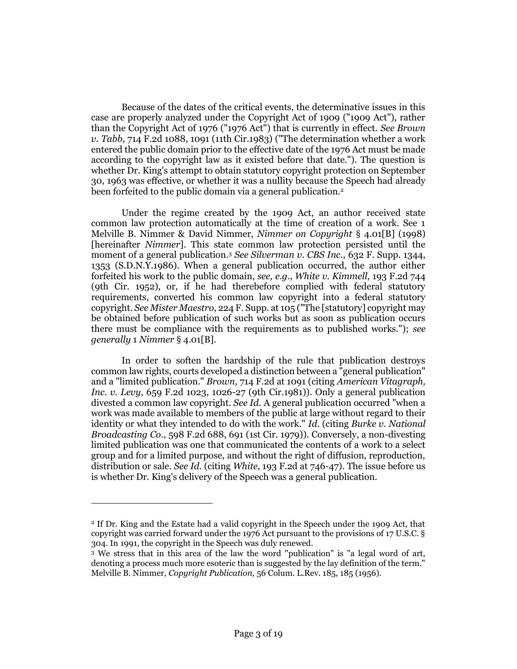Because of the dates of the critical events, the determinative issues in this case are properly analyzed under the Copyright Act of 1909 ("1909 Act"), rather than the Copyright Act of 1976 ("1976 Act") that is currently in effect. *See Brown v. Tabb*, 714 F.2d 1088, 1091 (11th Cir.1983) ("The determination whether a work entered the public domain prior to the effective date of the 1976 Act must be made according to the copyright law as it existed before that date."). The question is whether Dr. King's attempt to obtain statutory copyright protection on September 30, 1963 was effective, or whether it was a nullity because the Speech had already been forfeited to the public domain via a general publication.<sup>2</sup>

Under the regime created by the 1909 Act, an author received state common law protection automatically at the time of creation of a work. See 1 Melville B. Nimmer & David Nimmer, *Nimmer on Copyright* § 4.01[B] (1998) [hereinafter *Nimmer*]. This state common law protection persisted until the moment of a general publication.<sup>3</sup> *See Silverman v. CBS Inc.*, 632 F. Supp. 1344, 1353 (S.D.N.Y.1986). When a general publication occurred, the author either forfeited his work to the public domain, *see, e.g.*, *White v. Kimmell*, 193 F.2d 744 (9th Cir. 1952), or, if he had therebefore complied with federal statutory requirements, converted his common law copyright into a federal statutory copyright. *See Mister Maestro*, 224 F. Supp. at 105 ("The [statutory] copyright may be obtained before publication of such works but as soon as publication occurs there must be compliance with the requirements as to published works."); *see generally* 1 *Nimmer* § 4.01[B].

In order to soften the hardship of the rule that publication destroys common law rights, courts developed a distinction between a "general publication" and a "limited publication." *Brown*, 714 F.2d at 1091 (citing *American Vitagraph, Inc. v. Levy*, 659 F.2d 1023, 1026-27 (9th Cir.1981)). Only a general publication divested a common law copyright. *See Id.* A general publication occurred "when a work was made available to members of the public at large without regard to their identity or what they intended to do with the work." *Id.* (citing *Burke v. National Broadcasting Co.*, 598 F.2d 688, 691 (1st Cir. 1979)). Conversely, a non-divesting limited publication was one that communicated the contents of a work to a select group and for a limited purpose, and without the right of diffusion, reproduction, distribution or sale. *See Id.* (citing *White*, 193 F.2d at 746-47). The issue before us is whether Dr. King's delivery of the Speech was a general publication.

<sup>2</sup> If Dr. King and the Estate had a valid copyright in the Speech under the 1909 Act, that copyright was carried forward under the 1976 Act pursuant to the provisions of 17 U.S.C. § 304. In 1991, the copyright in the Speech was duly renewed.

<sup>3</sup> We stress that in this area of the law the word "publication" is "a legal word of art, denoting a process much more esoteric than is suggested by the lay definition of the term." Melville B. Nimmer, *Copyright Publication,* 56 Colum. L.Rev. 185, 185 (1956).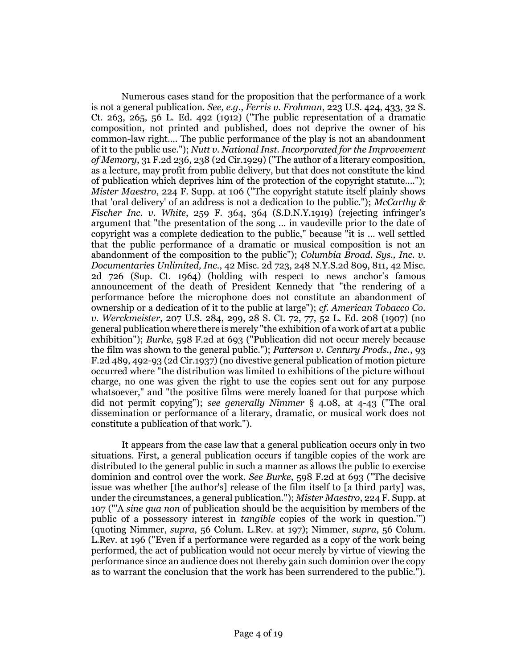Numerous cases stand for the proposition that the performance of a work is not a general publication. *See, e.g.*, *Ferris v. Frohman*, 223 U.S. 424, 433, 32 S. Ct. 263, 265,  $56$  L. Ed. 492 (1912) ("The public representation of a dramatic composition, not printed and published, does not deprive the owner of his common-law right…. The public performance of the play is not an abandonment of it to the public use."); *Nutt v. National Inst. Incorporated for the Improvement of Memory*, 31 F.2d 236, 238 (2d Cir.1929) ("The author of a literary composition, as a lecture, may profit from public delivery, but that does not constitute the kind of publication which deprives him of the protection of the copyright statute…."); *Mister Maestro*, 224 F. Supp. at 106 ("The copyright statute itself plainly shows that 'oral delivery' of an address is not a dedication to the public."); *McCarthy & Fischer Inc. v. White*, 259 F. 364, 364 (S.D.N.Y.1919) (rejecting infringer's argument that "the presentation of the song … in vaudeville prior to the date of copyright was a complete dedication to the public," because "it is … well settled that the public performance of a dramatic or musical composition is not an abandonment of the composition to the public"); *Columbia Broad. Sys., Inc. v. Documentaries Unlimited, Inc.*, 42 Misc. 2d 723, 248 N.Y.S.2d 809, 811, 42 Misc. 2d 726 (Sup. Ct. 1964) (holding with respect to news anchor's famous announcement of the death of President Kennedy that "the rendering of a performance before the microphone does not constitute an abandonment of ownership or a dedication of it to the public at large"); *cf. American Tobacco Co. v. Werckmeister*, 207 U.S. 284, 299, 28 S. Ct. 72, 77, 52 L. Ed. 208 (1907) (no general publication where there is merely "the exhibition of a work of art at a public exhibition"); *Burke*, 598 F.2d at 693 ("Publication did not occur merely because the film was shown to the general public."); *Patterson v. Century Prods., Inc.*, 93 F.2d 489, 492-93 (2d Cir.1937) (no divestive general publication of motion picture occurred where "the distribution was limited to exhibitions of the picture without charge, no one was given the right to use the copies sent out for any purpose whatsoever," and "the positive films were merely loaned for that purpose which did not permit copying"); *see generally Nimmer* § 4.08, at 4-43 ("The oral dissemination or performance of a literary, dramatic, or musical work does not constitute a publication of that work.").

It appears from the case law that a general publication occurs only in two situations. First, a general publication occurs if tangible copies of the work are distributed to the general public in such a manner as allows the public to exercise dominion and control over the work. *See Burke*, 598 F.2d at 693 ("The decisive issue was whether [the author's] release of the film itself to [a third party] was, under the circumstances, a general publication."); *Mister Maestro*, 224 F. Supp. at 107 ("'A *sine qua non* of publication should be the acquisition by members of the public of a possessory interest in *tangible* copies of the work in question.'") (quoting Nimmer, *supra*, 56 Colum. L.Rev. at 197); Nimmer, *supra*, 56 Colum. L.Rev. at 196 ("Even if a performance were regarded as a copy of the work being performed, the act of publication would not occur merely by virtue of viewing the performance since an audience does not thereby gain such dominion over the copy as to warrant the conclusion that the work has been surrendered to the public.").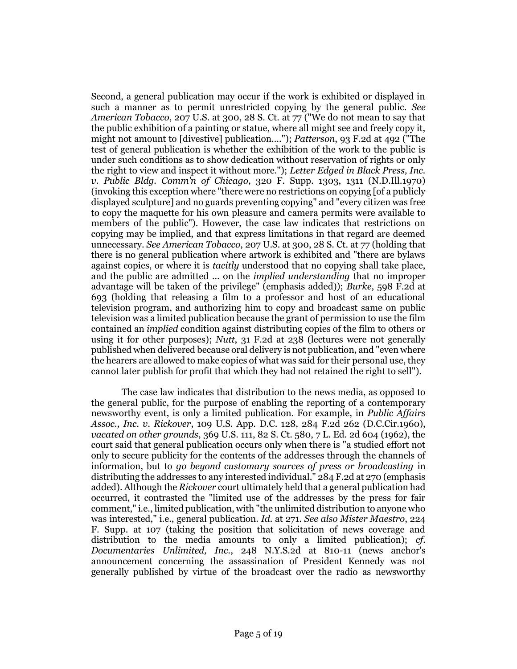Second, a general publication may occur if the work is exhibited or displayed in such a manner as to permit unrestricted copying by the general public. *See American Tobacco*, 207 U.S. at 300, 28 S. Ct. at 77 ("We do not mean to say that the public exhibition of a painting or statue, where all might see and freely copy it, might not amount to [divestive] publication…."); *Patterson*, 93 F.2d at 492 ("The test of general publication is whether the exhibition of the work to the public is under such conditions as to show dedication without reservation of rights or only the right to view and inspect it without more."); *Letter Edged in Black Press, Inc. v. Public Bldg. Comm'n of Chicago*, 320 F. Supp. 1303, 1311 (N.D.Ill.1970) (invoking this exception where "there were no restrictions on copying [of a publicly displayed sculpture] and no guards preventing copying" and "every citizen was free to copy the maquette for his own pleasure and camera permits were available to members of the public"). However, the case law indicates that restrictions on copying may be implied, and that express limitations in that regard are deemed unnecessary. *See American Tobacco*, 207 U.S. at 300, 28 S. Ct. at 77 (holding that there is no general publication where artwork is exhibited and "there are bylaws against copies, or where it is *tacitly* understood that no copying shall take place, and the public are admitted … on the *implied understanding* that no improper advantage will be taken of the privilege" (emphasis added)); *Burke*, 598 F.2d at 693 (holding that releasing a film to a professor and host of an educational television program, and authorizing him to copy and broadcast same on public television was a limited publication because the grant of permission to use the film contained an *implied* condition against distributing copies of the film to others or using it for other purposes); *Nutt*, 31 F.2d at 238 (lectures were not generally published when delivered because oral delivery is not publication, and "even where the hearers are allowed to make copies of what was said for their personal use, they cannot later publish for profit that which they had not retained the right to sell").

The case law indicates that distribution to the news media, as opposed to the general public, for the purpose of enabling the reporting of a contemporary newsworthy event, is only a limited publication. For example, in *Public Affairs Assoc., Inc. v. Rickover*, 109 U.S. App. D.C. 128, 284 F.2d 262 (D.C.Cir.1960), *vacated on other grounds*, 369 U.S. 111, 82 S. Ct. 580, 7 L. Ed. 2d 604 (1962), the court said that general publication occurs only when there is "a studied effort not only to secure publicity for the contents of the addresses through the channels of information, but to *go beyond customary sources of press or broadcasting* in distributing the addresses to any interested individual." 284 F.2d at 270 (emphasis added). Although the *Rickover* court ultimately held that a general publication had occurred, it contrasted the "limited use of the addresses by the press for fair comment," i.e., limited publication, with "the unlimited distribution to anyone who was interested," i.e., general publication. *Id.* at 271. *See also Mister Maestro*, 224 F. Supp. at 107 (taking the position that solicitation of news coverage and distribution to the media amounts to only a limited publication); *cf. Documentaries Unlimited, Inc.*, 248 N.Y.S.2d at 810-11 (news anchor's announcement concerning the assassination of President Kennedy was not generally published by virtue of the broadcast over the radio as newsworthy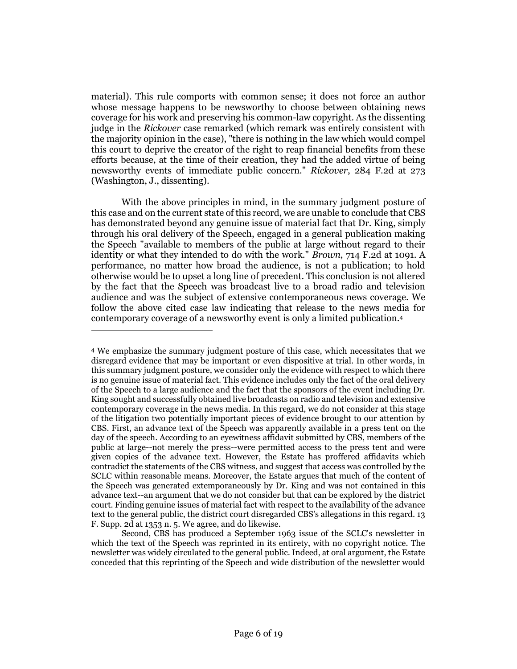material). This rule comports with common sense; it does not force an author whose message happens to be newsworthy to choose between obtaining news coverage for his work and preserving his common-law copyright. As the dissenting judge in the *Rickover* case remarked (which remark was entirely consistent with the majority opinion in the case), "there is nothing in the law which would compel this court to deprive the creator of the right to reap financial benefits from these efforts because, at the time of their creation, they had the added virtue of being newsworthy events of immediate public concern." *Rickover*, 284 F.2d at 273 (Washington, J., dissenting).

With the above principles in mind, in the summary judgment posture of this case and on the current state of this record, we are unable to conclude that CBS has demonstrated beyond any genuine issue of material fact that Dr. King, simply through his oral delivery of the Speech, engaged in a general publication making the Speech "available to members of the public at large without regard to their identity or what they intended to do with the work." *Brown*, 714 F.2d at 1091. A performance, no matter how broad the audience, is not a publication; to hold otherwise would be to upset a long line of precedent. This conclusion is not altered by the fact that the Speech was broadcast live to a broad radio and television audience and was the subject of extensive contemporaneous news coverage. We follow the above cited case law indicating that release to the news media for contemporary coverage of a newsworthy event is only a limited publication.<sup>4</sup>

<sup>4</sup> We emphasize the summary judgment posture of this case, which necessitates that we disregard evidence that may be important or even dispositive at trial. In other words, in this summary judgment posture, we consider only the evidence with respect to which there is no genuine issue of material fact. This evidence includes only the fact of the oral delivery of the Speech to a large audience and the fact that the sponsors of the event including Dr. King sought and successfully obtained live broadcasts on radio and television and extensive contemporary coverage in the news media. In this regard, we do not consider at this stage of the litigation two potentially important pieces of evidence brought to our attention by CBS. First, an advance text of the Speech was apparently available in a press tent on the day of the speech. According to an eyewitness affidavit submitted by CBS, members of the public at large--not merely the press--were permitted access to the press tent and were given copies of the advance text. However, the Estate has proffered affidavits which contradict the statements of the CBS witness, and suggest that access was controlled by the SCLC within reasonable means. Moreover, the Estate argues that much of the content of the Speech was generated extemporaneously by Dr. King and was not contained in this advance text--an argument that we do not consider but that can be explored by the district court. Finding genuine issues of material fact with respect to the availability of the advance text to the general public, the district court disregarded CBS's allegations in this regard. 13 F. Supp. 2d at 1353 n. 5. We agree, and do likewise.

Second, CBS has produced a September 1963 issue of the SCLC's newsletter in which the text of the Speech was reprinted in its entirety, with no copyright notice. The newsletter was widely circulated to the general public. Indeed, at oral argument, the Estate conceded that this reprinting of the Speech and wide distribution of the newsletter would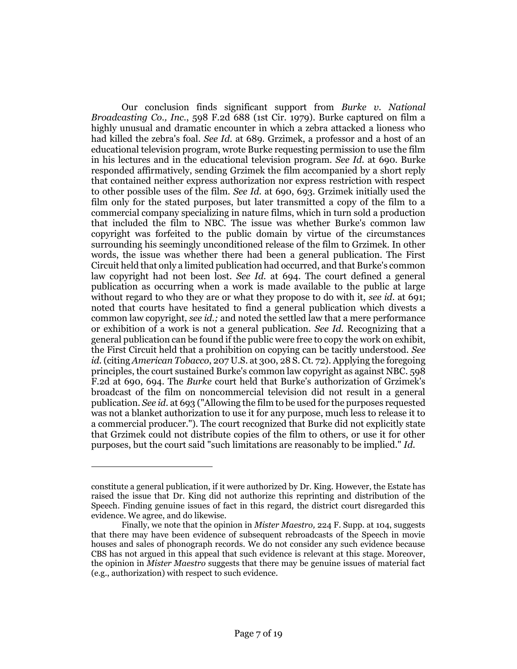Our conclusion finds significant support from *Burke v. National Broadcasting Co., Inc.*, 598 F.2d 688 (1st Cir. 1979). Burke captured on film a highly unusual and dramatic encounter in which a zebra attacked a lioness who had killed the zebra's foal. *See Id.* at 689. Grzimek, a professor and a host of an educational television program, wrote Burke requesting permission to use the film in his lectures and in the educational television program. *See Id.* at 690. Burke responded affirmatively, sending Grzimek the film accompanied by a short reply that contained neither express authorization nor express restriction with respect to other possible uses of the film. *See Id.* at 690, 693. Grzimek initially used the film only for the stated purposes, but later transmitted a copy of the film to a commercial company specializing in nature films, which in turn sold a production that included the film to NBC. The issue was whether Burke's common law copyright was forfeited to the public domain by virtue of the circumstances surrounding his seemingly unconditioned release of the film to Grzimek. In other words, the issue was whether there had been a general publication. The First Circuit held that only a limited publication had occurred, and that Burke's common law copyright had not been lost. *See Id.* at 694. The court defined a general publication as occurring when a work is made available to the public at large without regard to who they are or what they propose to do with it, *see id.* at 691; noted that courts have hesitated to find a general publication which divests a common law copyright, *see id.;* and noted the settled law that a mere performance or exhibition of a work is not a general publication. *See Id.* Recognizing that a general publication can be found if the public were free to copy the work on exhibit, the First Circuit held that a prohibition on copying can be tacitly understood. *See id.* (citing *American Tobacco*, 207 U.S. at 300, 28 S. Ct. 72). Applying the foregoing principles, the court sustained Burke's common law copyright as against NBC. 598 F.2d at 690, 694. The *Burke* court held that Burke's authorization of Grzimek's broadcast of the film on noncommercial television did not result in a general publication. *See id.* at 693 ("Allowing the film to be used for the purposes requested was not a blanket authorization to use it for any purpose, much less to release it to a commercial producer."). The court recognized that Burke did not explicitly state that Grzimek could not distribute copies of the film to others, or use it for other purposes, but the court said "such limitations are reasonably to be implied." *Id.*

constitute a general publication, if it were authorized by Dr. King. However, the Estate has raised the issue that Dr. King did not authorize this reprinting and distribution of the Speech. Finding genuine issues of fact in this regard, the district court disregarded this evidence. We agree, and do likewise.

Finally, we note that the opinion in *Mister Maestro,* 224 F. Supp. at 104, suggests that there may have been evidence of subsequent rebroadcasts of the Speech in movie houses and sales of phonograph records. We do not consider any such evidence because CBS has not argued in this appeal that such evidence is relevant at this stage. Moreover, the opinion in *Mister Maestro* suggests that there may be genuine issues of material fact (e.g., authorization) with respect to such evidence.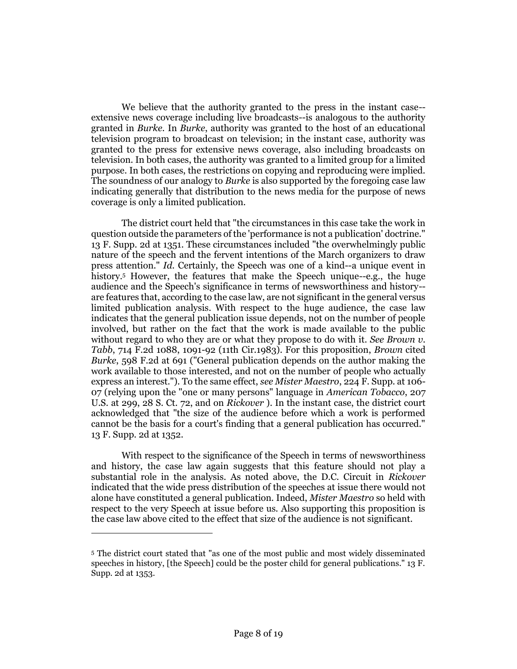We believe that the authority granted to the press in the instant case- extensive news coverage including live broadcasts--is analogous to the authority granted in *Burke.* In *Burke*, authority was granted to the host of an educational television program to broadcast on television; in the instant case, authority was granted to the press for extensive news coverage, also including broadcasts on television. In both cases, the authority was granted to a limited group for a limited purpose. In both cases, the restrictions on copying and reproducing were implied. The soundness of our analogy to *Burke* is also supported by the foregoing case law indicating generally that distribution to the news media for the purpose of news coverage is only a limited publication.

The district court held that "the circumstances in this case take the work in question outside the parameters of the 'performance is not a publication' doctrine." 13 F. Supp. 2d at 1351. These circumstances included "the overwhelmingly public nature of the speech and the fervent intentions of the March organizers to draw press attention." *Id.* Certainly, the Speech was one of a kind--a unique event in history.<sup>5</sup> However, the features that make the Speech unique--e.g., the huge audience and the Speech's significance in terms of newsworthiness and history- are features that, according to the case law, are not significant in the general versus limited publication analysis. With respect to the huge audience, the case law indicates that the general publication issue depends, not on the number of people involved, but rather on the fact that the work is made available to the public without regard to who they are or what they propose to do with it. *See Brown v. Tabb*, 714 F.2d 1088, 1091-92 (11th Cir.1983). For this proposition, *Brown* cited *Burke*, 598 F.2d at 691 ("General publication depends on the author making the work available to those interested, and not on the number of people who actually express an interest."). To the same effect, *see Mister Maestro*, 224 F. Supp. at 106- 07 (relying upon the "one or many persons" language in *American Tobacco*, 207 U.S. at 299, 28 S. Ct. 72, and on *Rickover* ). In the instant case, the district court acknowledged that "the size of the audience before which a work is performed cannot be the basis for a court's finding that a general publication has occurred." 13 F. Supp. 2d at 1352.

With respect to the significance of the Speech in terms of newsworthiness and history, the case law again suggests that this feature should not play a substantial role in the analysis. As noted above, the D.C. Circuit in *Rickover* indicated that the wide press distribution of the speeches at issue there would not alone have constituted a general publication. Indeed, *Mister Maestro* so held with respect to the very Speech at issue before us. Also supporting this proposition is the case law above cited to the effect that size of the audience is not significant.

<sup>5</sup> The district court stated that "as one of the most public and most widely disseminated speeches in history, [the Speech] could be the poster child for general publications." 13 F. Supp. 2d at 1353.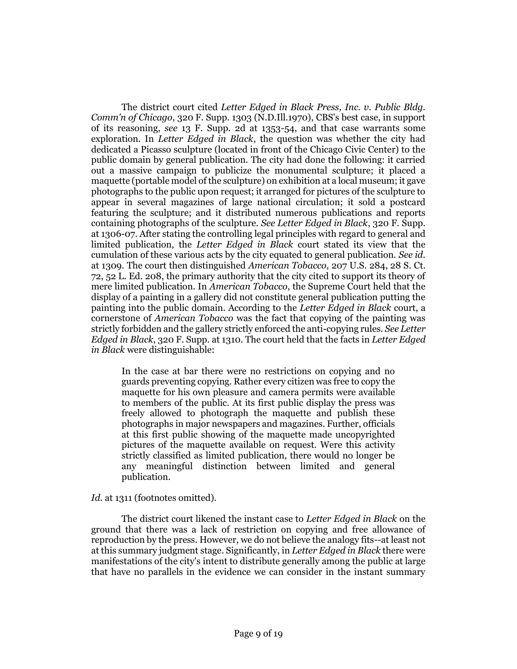The district court cited *Letter Edged in Black Press, Inc. v. Public Bldg. Comm'n of Chicago*, 320 F. Supp. 1303 (N.D.Ill.1970), CBS's best case, in support of its reasoning, *see* 13 F. Supp. 2d at 1353-54, and that case warrants some exploration. In *Letter Edged in Black*, the question was whether the city had dedicated a Picasso sculpture (located in front of the Chicago Civic Center) to the public domain by general publication. The city had done the following: it carried out a massive campaign to publicize the monumental sculpture; it placed a maquette (portable model of the sculpture) on exhibition at a local museum; it gave photographs to the public upon request; it arranged for pictures of the sculpture to appear in several magazines of large national circulation; it sold a postcard featuring the sculpture; and it distributed numerous publications and reports containing photographs of the sculpture. *See Letter Edged in Black*, 320 F. Supp. at 1306-07. After stating the controlling legal principles with regard to general and limited publication, the *Letter Edged in Black* court stated its view that the cumulation of these various acts by the city equated to general publication. *See id.* at 1309. The court then distinguished *American Tobacco*, 207 U.S. 284, 28 S. Ct. 72, 52 L. Ed. 208, the primary authority that the city cited to support its theory of mere limited publication. In *American Tobacco*, the Supreme Court held that the display of a painting in a gallery did not constitute general publication putting the painting into the public domain. According to the *Letter Edged in Black* court, a cornerstone of *American Tobacco* was the fact that copying of the painting was strictly forbidden and the gallery strictly enforced the anti-copying rules. *See Letter Edged in Black*, 320 F. Supp. at 1310. The court held that the facts in *Letter Edged in Black* were distinguishable:

In the case at bar there were no restrictions on copying and no guards preventing copying. Rather every citizen was free to copy the maquette for his own pleasure and camera permits were available to members of the public. At its first public display the press was freely allowed to photograph the maquette and publish these photographs in major newspapers and magazines. Further, officials at this first public showing of the maquette made uncopyrighted pictures of the maquette available on request. Were this activity strictly classified as limited publication, there would no longer be any meaningful distinction between limited and general publication.

Id. at 1311 (footnotes omitted).

The district court likened the instant case to *Letter Edged in Black* on the ground that there was a lack of restriction on copying and free allowance of reproduction by the press. However, we do not believe the analogy fits--at least not at this summary judgment stage. Significantly, in *Letter Edged in Black* there were manifestations of the city's intent to distribute generally among the public at large that have no parallels in the evidence we can consider in the instant summary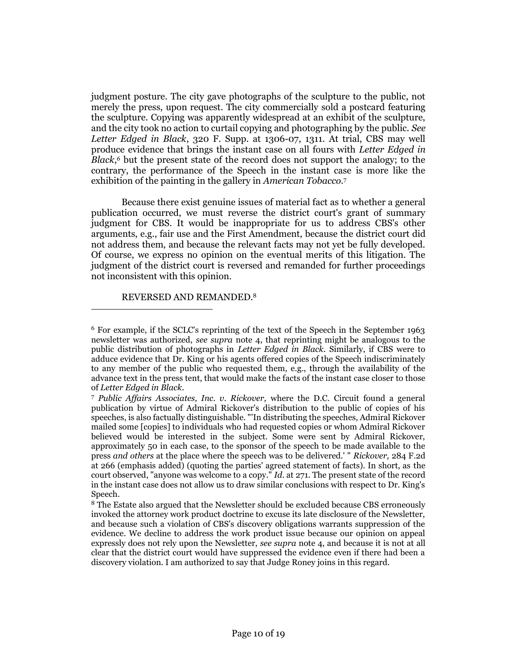judgment posture. The city gave photographs of the sculpture to the public, not merely the press, upon request. The city commercially sold a postcard featuring the sculpture. Copying was apparently widespread at an exhibit of the sculpture, and the city took no action to curtail copying and photographing by the public. *See Letter Edged in Black*, 320 F. Supp. at 1306-07, 1311. At trial, CBS may well produce evidence that brings the instant case on all fours with *Letter Edged in Black*, *<sup>6</sup>* but the present state of the record does not support the analogy; to the contrary, the performance of the Speech in the instant case is more like the exhibition of the painting in the gallery in *American Tobacco.*<sup>7</sup>

Because there exist genuine issues of material fact as to whether a general publication occurred, we must reverse the district court's grant of summary judgment for CBS. It would be inappropriate for us to address CBS's other arguments, e.g., fair use and the First Amendment, because the district court did not address them, and because the relevant facts may not yet be fully developed. Of course, we express no opinion on the eventual merits of this litigation. The judgment of the district court is reversed and remanded for further proceedings not inconsistent with this opinion.

# REVERSED AND REMANDED.<sup>8</sup>

<sup>6</sup> For example, if the SCLC's reprinting of the text of the Speech in the September 1963 newsletter was authorized, *see supra* note 4, that reprinting might be analogous to the public distribution of photographs in *Letter Edged in Black.* Similarly, if CBS were to adduce evidence that Dr. King or his agents offered copies of the Speech indiscriminately to any member of the public who requested them, e.g., through the availability of the advance text in the press tent, that would make the facts of the instant case closer to those of *Letter Edged in Black*.

<sup>7</sup> *Public Affairs Associates, Inc. v. Rickover,* where the D.C. Circuit found a general publication by virtue of Admiral Rickover's distribution to the public of copies of his speeches, is also factually distinguishable. "'In distributing the speeches, Admiral Rickover mailed some [copies] to individuals who had requested copies or whom Admiral Rickover believed would be interested in the subject. Some were sent by Admiral Rickover, approximately 50 in each case, to the sponsor of the speech to be made available to the press *and others* at the place where the speech was to be delivered.' " *Rickover,* 284 F.2d at 266 (emphasis added) (quoting the parties' agreed statement of facts). In short, as the court observed, "anyone was welcome to a copy." *Id.* at 271. The present state of the record in the instant case does not allow us to draw similar conclusions with respect to Dr. King's Speech.

<sup>8</sup> The Estate also argued that the Newsletter should be excluded because CBS erroneously invoked the attorney work product doctrine to excuse its late disclosure of the Newsletter, and because such a violation of CBS's discovery obligations warrants suppression of the evidence. We decline to address the work product issue because our opinion on appeal expressly does not rely upon the Newsletter, *see supra* note 4, and because it is not at all clear that the district court would have suppressed the evidence even if there had been a discovery violation. I am authorized to say that Judge Roney joins in this regard.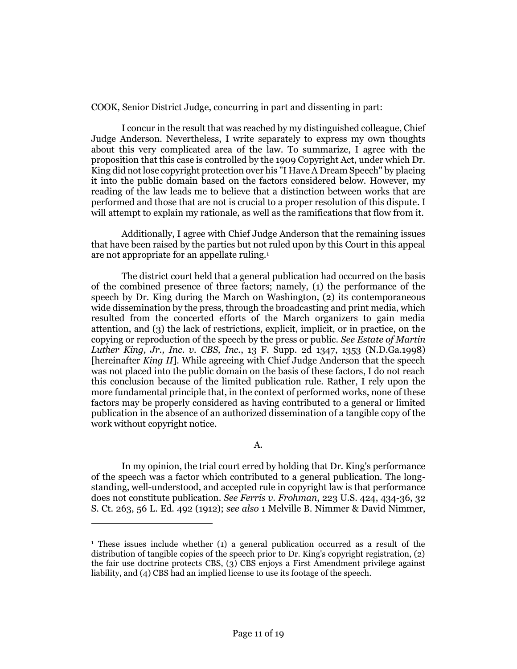COOK, Senior District Judge, concurring in part and dissenting in part:

I concur in the result that was reached by my distinguished colleague, Chief Judge Anderson. Nevertheless, I write separately to express my own thoughts about this very complicated area of the law. To summarize, I agree with the proposition that this case is controlled by the 1909 Copyright Act, under which Dr. King did not lose copyright protection over his "I Have A Dream Speech" by placing it into the public domain based on the factors considered below. However, my reading of the law leads me to believe that a distinction between works that are performed and those that are not is crucial to a proper resolution of this dispute. I will attempt to explain my rationale, as well as the ramifications that flow from it.

Additionally, I agree with Chief Judge Anderson that the remaining issues that have been raised by the parties but not ruled upon by this Court in this appeal are not appropriate for an appellate ruling.<sup>1</sup>

The district court held that a general publication had occurred on the basis of the combined presence of three factors; namely, (1) the performance of the speech by Dr. King during the March on Washington, (2) its contemporaneous wide dissemination by the press, through the broadcasting and print media, which resulted from the concerted efforts of the March organizers to gain media attention, and (3) the lack of restrictions, explicit, implicit, or in practice, on the copying or reproduction of the speech by the press or public. *See Estate of Martin Luther King, Jr., Inc. v. CBS, Inc.*, 13 F. Supp. 2d 1347, 1353 (N.D.Ga.1998) [hereinafter *King II*]. While agreeing with Chief Judge Anderson that the speech was not placed into the public domain on the basis of these factors, I do not reach this conclusion because of the limited publication rule. Rather, I rely upon the more fundamental principle that, in the context of performed works, none of these factors may be properly considered as having contributed to a general or limited publication in the absence of an authorized dissemination of a tangible copy of the work without copyright notice.

A.

In my opinion, the trial court erred by holding that Dr. King's performance of the speech was a factor which contributed to a general publication. The longstanding, well-understood, and accepted rule in copyright law is that performance does not constitute publication. *See Ferris v. Frohman*, 223 U.S. 424, 434-36, 32 S. Ct. 263, 56 L. Ed. 492 (1912); *see also* 1 Melville B. Nimmer & David Nimmer,

<sup>1</sup> These issues include whether (1) a general publication occurred as a result of the distribution of tangible copies of the speech prior to Dr. King's copyright registration, (2) the fair use doctrine protects CBS, (3) CBS enjoys a First Amendment privilege against liability, and (4) CBS had an implied license to use its footage of the speech.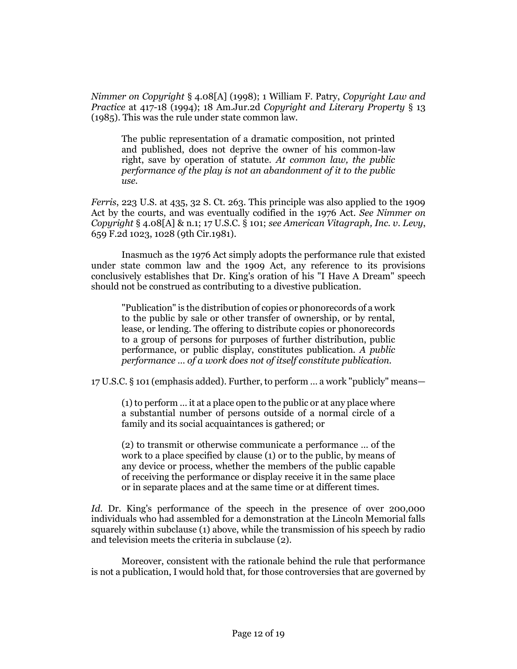*Nimmer on Copyright* § 4.08[A] (1998); 1 William F. Patry, *Copyright Law and Practice* at 417-18 (1994); 18 Am.Jur.2d *Copyright and Literary Property* § 13 (1985). This was the rule under state common law.

The public representation of a dramatic composition, not printed and published, does not deprive the owner of his common-law right, save by operation of statute. *At common law, the public performance of the play is not an abandonment of it to the public use.*

*Ferris*, 223 U.S. at 435, 32 S. Ct. 263. This principle was also applied to the 1909 Act by the courts, and was eventually codified in the 1976 Act. *See Nimmer on Copyright* § 4.08[A] & n.1; 17 U.S.C. § 101; *see American Vitagraph, Inc. v. Levy*, 659 F.2d 1023, 1028 (9th Cir.1981).

Inasmuch as the 1976 Act simply adopts the performance rule that existed under state common law and the 1909 Act, any reference to its provisions conclusively establishes that Dr. King's oration of his "I Have A Dream" speech should not be construed as contributing to a divestive publication.

"Publication" is the distribution of copies or phonorecords of a work to the public by sale or other transfer of ownership, or by rental, lease, or lending. The offering to distribute copies or phonorecords to a group of persons for purposes of further distribution, public performance, or public display, constitutes publication. *A public performance … of a work does not of itself constitute publication.*

17 U.S.C. § 101 (emphasis added). Further, to perform … a work "publicly" means—

(1) to perform … it at a place open to the public or at any place where a substantial number of persons outside of a normal circle of a family and its social acquaintances is gathered; or

(2) to transmit or otherwise communicate a performance … of the work to a place specified by clause (1) or to the public, by means of any device or process, whether the members of the public capable of receiving the performance or display receive it in the same place or in separate places and at the same time or at different times.

*Id.* Dr. King's performance of the speech in the presence of over 200,000 individuals who had assembled for a demonstration at the Lincoln Memorial falls squarely within subclause (1) above, while the transmission of his speech by radio and television meets the criteria in subclause (2).

Moreover, consistent with the rationale behind the rule that performance is not a publication, I would hold that, for those controversies that are governed by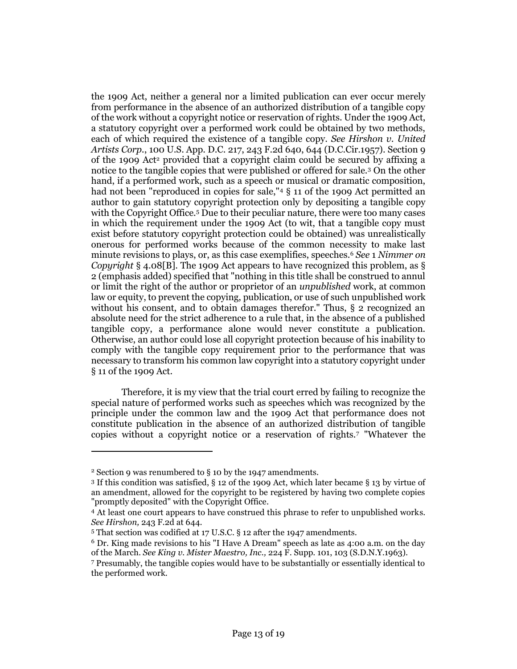the 1909 Act, neither a general nor a limited publication can ever occur merely from performance in the absence of an authorized distribution of a tangible copy of the work without a copyright notice or reservation of rights. Under the 1909 Act, a statutory copyright over a performed work could be obtained by two methods, each of which required the existence of a tangible copy. *See Hirshon v. United Artists Corp.*, 100 U.S. App. D.C. 217, 243 F.2d 640, 644 (D.C.Cir.1957). Section 9 of the 1909 Act<sup>2</sup> provided that a copyright claim could be secured by affixing a notice to the tangible copies that were published or offered for sale.<sup>3</sup> On the other hand, if a performed work, such as a speech or musical or dramatic composition, had not been "reproduced in copies for sale,"<sup>4</sup> § 11 of the 1909 Act permitted an author to gain statutory copyright protection only by depositing a tangible copy with the Copyright Office.<sup>5</sup> Due to their peculiar nature, there were too many cases in which the requirement under the 1909 Act (to wit, that a tangible copy must exist before statutory copyright protection could be obtained) was unrealistically onerous for performed works because of the common necessity to make last minute revisions to plays, or, as this case exemplifies, speeches.<sup>6</sup> *See* 1 *Nimmer on Copyright* § 4.08[B]. The 1909 Act appears to have recognized this problem, as § 2 (emphasis added) specified that "nothing in this title shall be construed to annul or limit the right of the author or proprietor of an *unpublished* work, at common law or equity, to prevent the copying, publication, or use of such unpublished work without his consent, and to obtain damages therefor." Thus, § 2 recognized an absolute need for the strict adherence to a rule that, in the absence of a published tangible copy, a performance alone would never constitute a publication. Otherwise, an author could lose all copyright protection because of his inability to comply with the tangible copy requirement prior to the performance that was necessary to transform his common law copyright into a statutory copyright under § 11 of the 1909 Act.

Therefore, it is my view that the trial court erred by failing to recognize the special nature of performed works such as speeches which was recognized by the principle under the common law and the 1909 Act that performance does not constitute publication in the absence of an authorized distribution of tangible copies without a copyright notice or a reservation of rights.<sup>7</sup> "Whatever the

<sup>2</sup> Section 9 was renumbered to § 10 by the 1947 amendments.

<sup>3</sup> If this condition was satisfied, § 12 of the 1909 Act, which later became § 13 by virtue of an amendment, allowed for the copyright to be registered by having two complete copies "promptly deposited" with the Copyright Office.

<sup>4</sup> At least one court appears to have construed this phrase to refer to unpublished works. *See Hirshon,* 243 F.2d at 644.

<sup>5</sup> That section was codified at 17 U.S.C. § 12 after the 1947 amendments.

<sup>6</sup> Dr. King made revisions to his "I Have A Dream" speech as late as 4:00 a.m. on the day of the March. *See King v. Mister Maestro, Inc.,* 224 F. Supp. 101, 103 (S.D.N.Y.1963).

<sup>7</sup> Presumably, the tangible copies would have to be substantially or essentially identical to the performed work.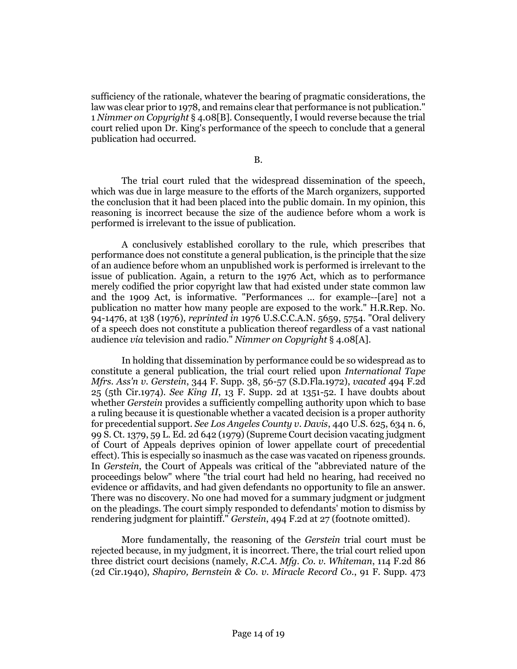sufficiency of the rationale, whatever the bearing of pragmatic considerations, the law was clear prior to 1978, and remains clear that performance is not publication." 1 *Nimmer on Copyright* § 4.08[B]. Consequently, I would reverse because the trial court relied upon Dr. King's performance of the speech to conclude that a general publication had occurred.

The trial court ruled that the widespread dissemination of the speech, which was due in large measure to the efforts of the March organizers, supported the conclusion that it had been placed into the public domain. In my opinion, this reasoning is incorrect because the size of the audience before whom a work is performed is irrelevant to the issue of publication.

A conclusively established corollary to the rule, which prescribes that performance does not constitute a general publication, is the principle that the size of an audience before whom an unpublished work is performed is irrelevant to the issue of publication. Again, a return to the 1976 Act, which as to performance merely codified the prior copyright law that had existed under state common law and the 1909 Act, is informative. "Performances … for example--[are] not a publication no matter how many people are exposed to the work." H.R.Rep. No. 94-1476, at 138 (1976), *reprinted in* 1976 U.S.C.C.A.N. 5659, 5754. "Oral delivery of a speech does not constitute a publication thereof regardless of a vast national audience *via* television and radio." *Nimmer on Copyright* § 4.08[A].

In holding that dissemination by performance could be so widespread as to constitute a general publication, the trial court relied upon *International Tape Mfrs. Ass'n v. Gerstein*, 344 F. Supp. 38, 56-57 (S.D.Fla.1972), *vacated* 494 F.2d 25 (5th Cir.1974). *See King II*, 13 F. Supp. 2d at 1351-52. I have doubts about whether *Gerstein* provides a sufficiently compelling authority upon which to base a ruling because it is questionable whether a vacated decision is a proper authority for precedential support. *See Los Angeles County v. Davis*, 440 U.S. 625, 634 n. 6, 99 S. Ct. 1379, 59 L. Ed. 2d 642 (1979) (Supreme Court decision vacating judgment of Court of Appeals deprives opinion of lower appellate court of precedential effect). This is especially so inasmuch as the case was vacated on ripeness grounds. In *Gerstein*, the Court of Appeals was critical of the "abbreviated nature of the proceedings below" where "the trial court had held no hearing, had received no evidence or affidavits, and had given defendants no opportunity to file an answer. There was no discovery. No one had moved for a summary judgment or judgment on the pleadings. The court simply responded to defendants' motion to dismiss by rendering judgment for plaintiff." *Gerstein*, 494 F.2d at 27 (footnote omitted).

More fundamentally, the reasoning of the *Gerstein* trial court must be rejected because, in my judgment, it is incorrect. There, the trial court relied upon three district court decisions (namely, *R.C.A. Mfg. Co. v. Whiteman*, 114 F.2d 86 (2d Cir.1940), *Shapiro, Bernstein & Co. v. Miracle Record Co.*, 91 F. Supp. 473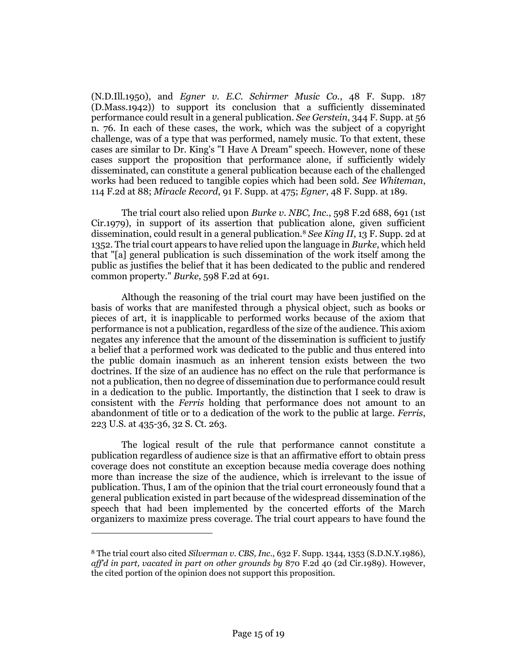(N.D.Ill.1950), and *Egner v. E.C. Schirmer Music Co.*, 48 F. Supp. 187 (D.Mass.1942)) to support its conclusion that a sufficiently disseminated performance could result in a general publication. *See Gerstein*, 344 F. Supp. at 56 n. 76. In each of these cases, the work, which was the subject of a copyright challenge, was of a type that was performed, namely music. To that extent, these cases are similar to Dr. King's "I Have A Dream" speech. However, none of these cases support the proposition that performance alone, if sufficiently widely disseminated, can constitute a general publication because each of the challenged works had been reduced to tangible copies which had been sold. *See Whiteman*, 114 F.2d at 88; *Miracle Record*, 91 F. Supp. at 475; *Egner*, 48 F. Supp. at 189.

The trial court also relied upon *Burke v. NBC, Inc.*, 598 F.2d 688, 691 (1st Cir.1979), in support of its assertion that publication alone, given sufficient dissemination, could result in a general publication.<sup>8</sup> *See King II*, 13 F. Supp. 2d at 1352. The trial court appears to have relied upon the language in *Burke*, which held that "[a] general publication is such dissemination of the work itself among the public as justifies the belief that it has been dedicated to the public and rendered common property." *Burke*, 598 F.2d at 691.

Although the reasoning of the trial court may have been justified on the basis of works that are manifested through a physical object, such as books or pieces of art, it is inapplicable to performed works because of the axiom that performance is not a publication, regardless of the size of the audience. This axiom negates any inference that the amount of the dissemination is sufficient to justify a belief that a performed work was dedicated to the public and thus entered into the public domain inasmuch as an inherent tension exists between the two doctrines. If the size of an audience has no effect on the rule that performance is not a publication, then no degree of dissemination due to performance could result in a dedication to the public. Importantly, the distinction that I seek to draw is consistent with the *Ferris* holding that performance does not amount to an abandonment of title or to a dedication of the work to the public at large. *Ferris*, 223 U.S. at 435-36, 32 S. Ct. 263.

The logical result of the rule that performance cannot constitute a publication regardless of audience size is that an affirmative effort to obtain press coverage does not constitute an exception because media coverage does nothing more than increase the size of the audience, which is irrelevant to the issue of publication. Thus, I am of the opinion that the trial court erroneously found that a general publication existed in part because of the widespread dissemination of the speech that had been implemented by the concerted efforts of the March organizers to maximize press coverage. The trial court appears to have found the

<sup>8</sup> The trial court also cited *Silverman v. CBS, Inc.,* 632 F. Supp. 1344, 1353 (S.D.N.Y.1986), *aff'd in part, vacated in part on other grounds by* 870 F.2d 40 (2d Cir.1989). However, the cited portion of the opinion does not support this proposition.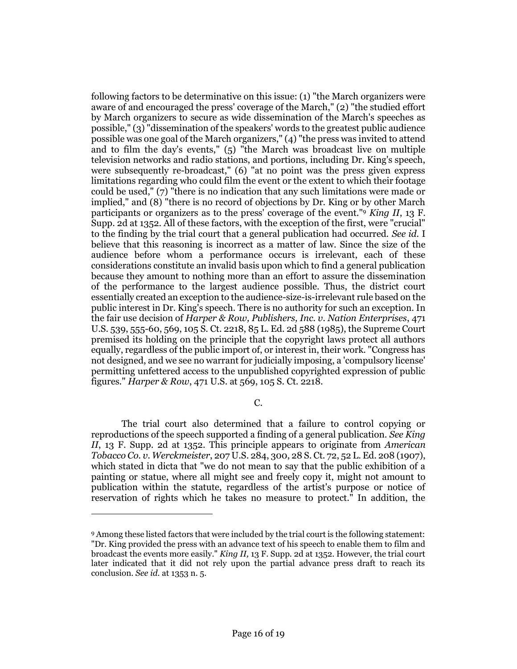following factors to be determinative on this issue: (1) "the March organizers were aware of and encouraged the press' coverage of the March," (2) "the studied effort by March organizers to secure as wide dissemination of the March's speeches as possible," (3) "dissemination of the speakers' words to the greatest public audience possible was one goal of the March organizers," (4) "the press was invited to attend and to film the day's events," (5) "the March was broadcast live on multiple television networks and radio stations, and portions, including Dr. King's speech, were subsequently re-broadcast," (6) "at no point was the press given express limitations regarding who could film the event or the extent to which their footage could be used," (7) "there is no indication that any such limitations were made or implied," and (8) "there is no record of objections by Dr. King or by other March participants or organizers as to the press' coverage of the event."<sup>9</sup> *King II*, 13 F. Supp. 2d at 1352. All of these factors, with the exception of the first, were "crucial" to the finding by the trial court that a general publication had occurred. *See id.* I believe that this reasoning is incorrect as a matter of law. Since the size of the audience before whom a performance occurs is irrelevant, each of these considerations constitute an invalid basis upon which to find a general publication because they amount to nothing more than an effort to assure the dissemination of the performance to the largest audience possible. Thus, the district court essentially created an exception to the audience-size-is-irrelevant rule based on the public interest in Dr. King's speech. There is no authority for such an exception. In the fair use decision of *Harper & Row, Publishers, Inc. v. Nation Enterprises*, 471 U.S. 539, 555-60, 569, 105 S. Ct. 2218, 85 L. Ed. 2d 588 (1985), the Supreme Court premised its holding on the principle that the copyright laws protect all authors equally, regardless of the public import of, or interest in, their work. "Congress has not designed, and we see no warrant for judicially imposing, a 'compulsory license' permitting unfettered access to the unpublished copyrighted expression of public figures." *Harper & Row*, 471 U.S. at 569, 105 S. Ct. 2218.

C.

The trial court also determined that a failure to control copying or reproductions of the speech supported a finding of a general publication. *See King II*, 13 F. Supp. 2d at 1352. This principle appears to originate from *American Tobacco Co. v. Werckmeister*, 207 U.S. 284, 300, 28 S. Ct. 72, 52 L. Ed. 208 (1907), which stated in dicta that "we do not mean to say that the public exhibition of a painting or statue, where all might see and freely copy it, might not amount to publication within the statute, regardless of the artist's purpose or notice of reservation of rights which he takes no measure to protect." In addition, the

<sup>9</sup> Among these listed factors that were included by the trial court is the following statement: "Dr. King provided the press with an advance text of his speech to enable them to film and broadcast the events more easily." *King II,* 13 F. Supp. 2d at 1352. However, the trial court later indicated that it did not rely upon the partial advance press draft to reach its conclusion. *See id.* at 1353 n. 5.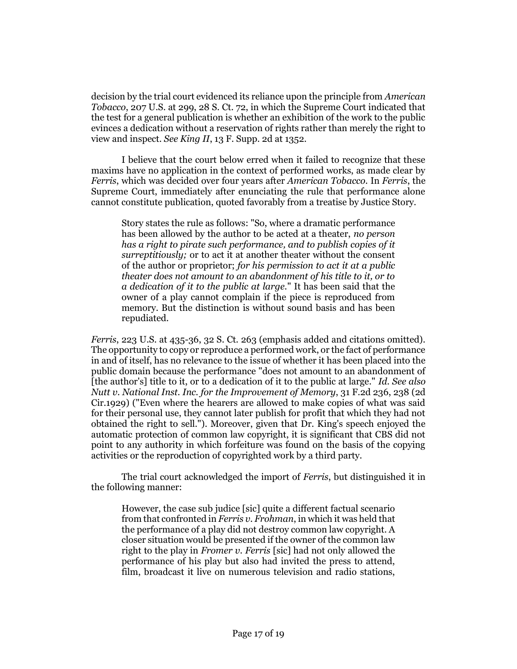decision by the trial court evidenced its reliance upon the principle from *American Tobacco*, 207 U.S. at 299, 28 S. Ct. 72, in which the Supreme Court indicated that the test for a general publication is whether an exhibition of the work to the public evinces a dedication without a reservation of rights rather than merely the right to view and inspect. *See King II*, 13 F. Supp. 2d at 1352.

I believe that the court below erred when it failed to recognize that these maxims have no application in the context of performed works, as made clear by *Ferris*, which was decided over four years after *American Tobacco.* In *Ferris*, the Supreme Court, immediately after enunciating the rule that performance alone cannot constitute publication, quoted favorably from a treatise by Justice Story.

Story states the rule as follows: "So, where a dramatic performance has been allowed by the author to be acted at a theater, *no person has a right to pirate such performance, and to publish copies of it surreptitiously;* or to act it at another theater without the consent of the author or proprietor; *for his permission to act it at a public theater does not amount to an abandonment of his title to it, or to a dedication of it to the public at large.*" It has been said that the owner of a play cannot complain if the piece is reproduced from memory. But the distinction is without sound basis and has been repudiated.

*Ferris*, 223 U.S. at 435-36, 32 S. Ct. 263 (emphasis added and citations omitted). The opportunity to copy or reproduce a performed work, or the fact of performance in and of itself, has no relevance to the issue of whether it has been placed into the public domain because the performance "does not amount to an abandonment of [the author's] title to it, or to a dedication of it to the public at large." *Id. See also Nutt v. National Inst. Inc. for the Improvement of Memory*, 31 F.2d 236, 238 (2d Cir.1929) ("Even where the hearers are allowed to make copies of what was said for their personal use, they cannot later publish for profit that which they had not obtained the right to sell."). Moreover, given that Dr. King's speech enjoyed the automatic protection of common law copyright, it is significant that CBS did not point to any authority in which forfeiture was found on the basis of the copying activities or the reproduction of copyrighted work by a third party.

The trial court acknowledged the import of *Ferris*, but distinguished it in the following manner:

However, the case sub judice [sic] quite a different factual scenario from that confronted in *Ferris v. Frohman*, in which it was held that the performance of a play did not destroy common law copyright. A closer situation would be presented if the owner of the common law right to the play in *Fromer v. Ferris* [sic] had not only allowed the performance of his play but also had invited the press to attend, film, broadcast it live on numerous television and radio stations,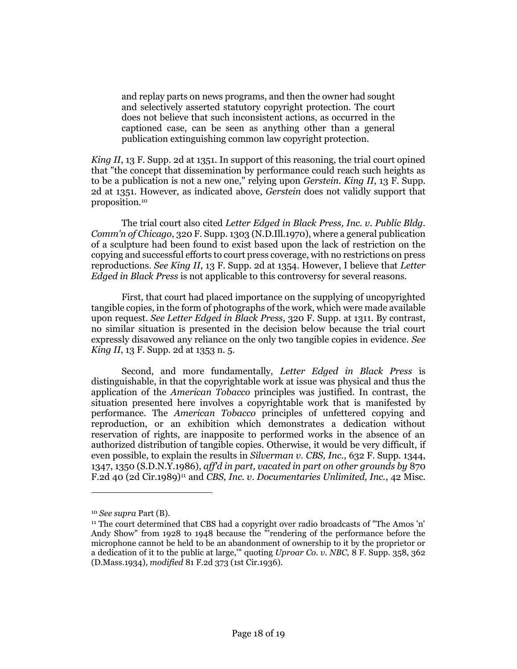and replay parts on news programs, and then the owner had sought and selectively asserted statutory copyright protection. The court does not believe that such inconsistent actions, as occurred in the captioned case, can be seen as anything other than a general publication extinguishing common law copyright protection.

*King II*, 13 F. Supp. 2d at 1351. In support of this reasoning, the trial court opined that "the concept that dissemination by performance could reach such heights as to be a publication is not a new one," relying upon *Gerstein. King II*, 13 F. Supp. 2d at 1351. However, as indicated above, *Gerstein* does not validly support that proposition.<sup>10</sup>

The trial court also cited *Letter Edged in Black Press, Inc. v. Public Bldg. Comm'n of Chicago*, 320 F. Supp. 1303 (N.D.Ill.1970), where a general publication of a sculpture had been found to exist based upon the lack of restriction on the copying and successful efforts to court press coverage, with no restrictions on press reproductions. *See King II*, 13 F. Supp. 2d at 1354. However, I believe that *Letter Edged in Black Press* is not applicable to this controversy for several reasons.

First, that court had placed importance on the supplying of uncopyrighted tangible copies, in the form of photographs of the work, which were made available upon request. *See Letter Edged in Black Press*, 320 F. Supp. at 1311. By contrast, no similar situation is presented in the decision below because the trial court expressly disavowed any reliance on the only two tangible copies in evidence. *See King II*, 13 F. Supp. 2d at 1353 n. 5.

Second, and more fundamentally, *Letter Edged in Black Press* is distinguishable, in that the copyrightable work at issue was physical and thus the application of the *American Tobacco* principles was justified. In contrast, the situation presented here involves a copyrightable work that is manifested by performance. The *American Tobacco* principles of unfettered copying and reproduction, or an exhibition which demonstrates a dedication without reservation of rights, are inapposite to performed works in the absence of an authorized distribution of tangible copies. Otherwise, it would be very difficult, if even possible, to explain the results in *Silverman v. CBS, Inc.*, 632 F. Supp. 1344, 1347, 1350 (S.D.N.Y.1986), *aff'd in part, vacated in part on other grounds by* 870 F.2d 40 (2d Cir.1989)<sup>11</sup> and *CBS, Inc. v. Documentaries Unlimited, Inc.*, 42 Misc.

<sup>10</sup> *See supra* Part (B).

<sup>11</sup> The court determined that CBS had a copyright over radio broadcasts of "The Amos 'n' Andy Show" from 1928 to 1948 because the "'rendering of the performance before the microphone cannot be held to be an abandonment of ownership to it by the proprietor or a dedication of it to the public at large,'" quoting *Uproar Co. v. NBC,* 8 F. Supp. 358, 362 (D.Mass.1934), *modified* 81 F.2d 373 (1st Cir.1936).